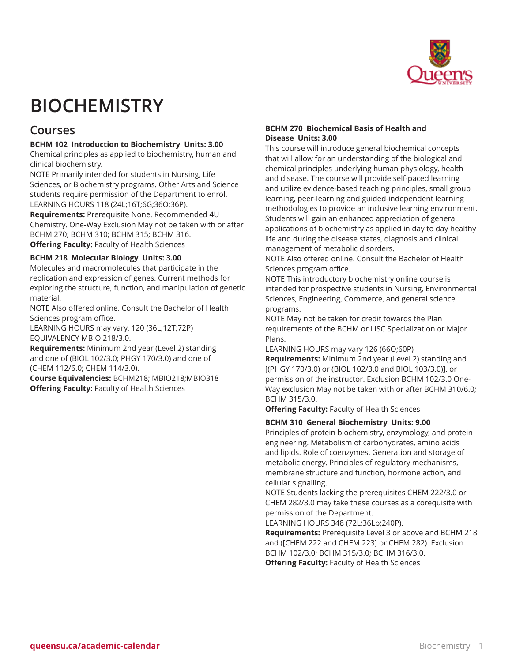

# **BIOCHEMISTRY**

# **Courses**

# **BCHM 102 Introduction to Biochemistry Units: 3.00**

Chemical principles as applied to biochemistry, human and clinical biochemistry.

NOTE Primarily intended for students in Nursing, Life Sciences, or Biochemistry programs. Other Arts and Science students require permission of the Department to enrol. LEARNING HOURS 118 (24L;16T;6G;36O;36P).

**Requirements:** Prerequisite None. Recommended 4U Chemistry. One-Way Exclusion May not be taken with or after BCHM 270; BCHM 310; BCHM 315; BCHM 316. **Offering Faculty:** Faculty of Health Sciences

# **BCHM 218 Molecular Biology Units: 3.00**

Molecules and macromolecules that participate in the replication and expression of genes. Current methods for exploring the structure, function, and manipulation of genetic material.

NOTE Also offered online. Consult the Bachelor of Health Sciences program office.

LEARNING HOURS may vary. 120 (36L;12T;72P) EQUIVALENCY MBIO 218/3.0.

**Requirements:** Minimum 2nd year (Level 2) standing and one of (BIOL 102/3.0; PHGY 170/3.0) and one of (CHEM 112/6.0; CHEM 114/3.0).

**Course Equivalencies:** BCHM218; MBIO218;MBIO318 **Offering Faculty:** Faculty of Health Sciences

# **BCHM 270 Biochemical Basis of Health and Disease Units: 3.00**

This course will introduce general biochemical concepts that will allow for an understanding of the biological and chemical principles underlying human physiology, health and disease. The course will provide self-paced learning and utilize evidence-based teaching principles, small group learning, peer-learning and guided-independent learning methodologies to provide an inclusive learning environment. Students will gain an enhanced appreciation of general applications of biochemistry as applied in day to day healthy life and during the disease states, diagnosis and clinical management of metabolic disorders.

NOTE Also offered online. Consult the Bachelor of Health Sciences program office.

NOTE This introductory biochemistry online course is intended for prospective students in Nursing, Environmental Sciences, Engineering, Commerce, and general science programs.

NOTE May not be taken for credit towards the Plan requirements of the BCHM or LISC Specialization or Major Plans.

LEARNING HOURS may vary 126 (66O;60P)

**Requirements:** Minimum 2nd year (Level 2) standing and [(PHGY 170/3.0) or (BIOL 102/3.0 and BIOL 103/3.0)], or permission of the instructor. Exclusion BCHM 102/3.0 One-Way exclusion May not be taken with or after BCHM 310/6.0; BCHM 315/3.0.

**Offering Faculty:** Faculty of Health Sciences

# **BCHM 310 General Biochemistry Units: 9.00**

Principles of protein biochemistry, enzymology, and protein engineering. Metabolism of carbohydrates, amino acids and lipids. Role of coenzymes. Generation and storage of metabolic energy. Principles of regulatory mechanisms, membrane structure and function, hormone action, and cellular signalling.

NOTE Students lacking the prerequisites CHEM 222/3.0 or CHEM 282/3.0 may take these courses as a corequisite with permission of the Department.

LEARNING HOURS 348 (72L;36Lb;240P).

**Requirements:** Prerequisite Level 3 or above and BCHM 218 and ([CHEM 222 and CHEM 223] or CHEM 282). Exclusion BCHM 102/3.0; BCHM 315/3.0; BCHM 316/3.0. **Offering Faculty:** Faculty of Health Sciences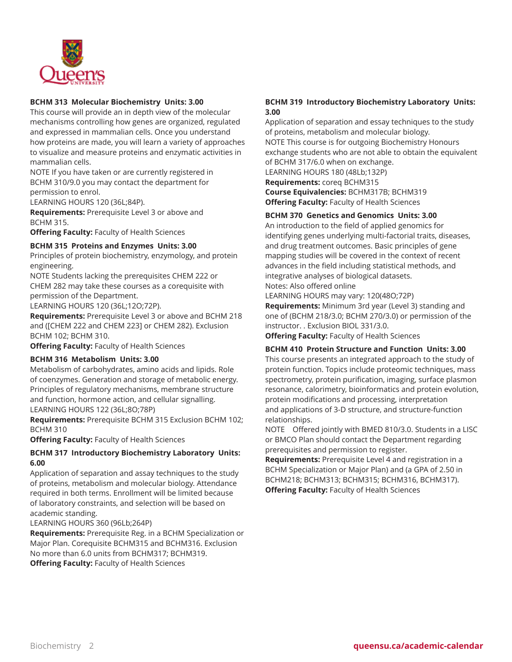

# **BCHM 313 Molecular Biochemistry Units: 3.00**

This course will provide an in depth view of the molecular mechanisms controlling how genes are organized, regulated and expressed in mammalian cells. Once you understand how proteins are made, you will learn a variety of approaches to visualize and measure proteins and enzymatic activities in mammalian cells.

NOTE If you have taken or are currently registered in BCHM 310/9.0 you may contact the department for permission to enrol.

LEARNING HOURS 120 (36L;84P).

**Requirements:** Prerequisite Level 3 or above and BCHM 315.

**Offering Faculty:** Faculty of Health Sciences

#### **BCHM 315 Proteins and Enzymes Units: 3.00**

Principles of protein biochemistry, enzymology, and protein engineering.

NOTE Students lacking the prerequisites CHEM 222 or CHEM 282 may take these courses as a corequisite with permission of the Department.

LEARNING HOURS 120 (36L;12O;72P).

**Requirements:** Prerequisite Level 3 or above and BCHM 218 and ([CHEM 222 and CHEM 223] or CHEM 282). Exclusion BCHM 102; BCHM 310.

**Offering Faculty:** Faculty of Health Sciences

# **BCHM 316 Metabolism Units: 3.00**

Metabolism of carbohydrates, amino acids and lipids. Role of coenzymes. Generation and storage of metabolic energy. Principles of regulatory mechanisms, membrane structure and function, hormone action, and cellular signalling. LEARNING HOURS 122 (36L;8O;78P)

**Requirements:** Prerequisite BCHM 315 Exclusion BCHM 102; BCHM 310

**Offering Faculty:** Faculty of Health Sciences

# **BCHM 317 Introductory Biochemistry Laboratory Units: 6.00**

Application of separation and assay techniques to the study of proteins, metabolism and molecular biology. Attendance required in both terms. Enrollment will be limited because of laboratory constraints, and selection will be based on academic standing.

LEARNING HOURS 360 (96Lb;264P)

**Requirements:** Prerequisite Reg. in a BCHM Specialization or Major Plan. Corequisite BCHM315 and BCHM316. Exclusion No more than 6.0 units from BCHM317; BCHM319. **Offering Faculty:** Faculty of Health Sciences

# **BCHM 319 Introductory Biochemistry Laboratory Units: 3.00**

Application of separation and essay techniques to the study of proteins, metabolism and molecular biology. NOTE This course is for outgoing Biochemistry Honours exchange students who are not able to obtain the equivalent of BCHM 317/6.0 when on exchange. LEARNING HOURS 180 (48Lb;132P)

**Requirements:** coreq BCHM315

**Course Equivalencies:** BCHM317B; BCHM319 **Offering Faculty:** Faculty of Health Sciences

# **BCHM 370 Genetics and Genomics Units: 3.00**

An introduction to the field of applied genomics for identifying genes underlying multi-factorial traits, diseases, and drug treatment outcomes. Basic principles of gene mapping studies will be covered in the context of recent advances in the field including statistical methods, and integrative analyses of biological datasets.

Notes: Also offered online

LEARNING HOURS may vary: 120(48O;72P)

**Requirements:** Minimum 3rd year (Level 3) standing and one of (BCHM 218/3.0; BCHM 270/3.0) or permission of the instructor. . Exclusion BIOL 331/3.0.

**Offering Faculty:** Faculty of Health Sciences

# **BCHM 410 Protein Structure and Function Units: 3.00**

This course presents an integrated approach to the study of protein function. Topics include proteomic techniques, mass spectrometry, protein purification, imaging, surface plasmon resonance, calorimetry, bioinformatics and protein evolution, protein modifications and processing, interpretation and applications of 3-D structure, and structure-function relationships.

NOTE Offered jointly with BMED 810/3.0. Students in a LISC or BMCO Plan should contact the Department regarding prerequisites and permission to register.

**Requirements:** Prerequisite Level 4 and registration in a BCHM Specialization or Major Plan) and (a GPA of 2.50 in BCHM218; BCHM313; BCHM315; BCHM316, BCHM317). **Offering Faculty:** Faculty of Health Sciences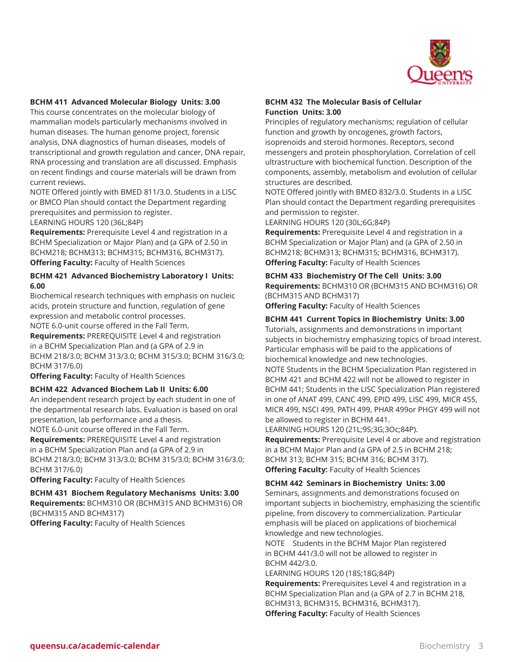

#### **BCHM 411 Advanced Molecular Biology Units: 3.00**

This course concentrates on the molecular biology of mammalian models particularly mechanisms involved in human diseases. The human genome project, forensic analysis, DNA diagnostics of human diseases, models of transcriptional and growth regulation and cancer, DNA repair, RNA processing and translation are all discussed. Emphasis on recent findings and course materials will be drawn from current reviews.

NOTE Offered jointly with BMED 811/3.0. Students in a LISC or BMCO Plan should contact the Department regarding prerequisites and permission to register.

LEARNING HOURS 120 (36L;84P)

**Requirements:** Prerequisite Level 4 and registration in a BCHM Specialization or Major Plan) and (a GPA of 2.50 in BCHM218; BCHM313; BCHM315; BCHM316, BCHM317). **Offering Faculty:** Faculty of Health Sciences

#### **BCHM 421 Advanced Biochemistry Laboratory I Units: 6.00**

Biochemical research techniques with emphasis on nucleic acids, protein structure and function, regulation of gene expression and metabolic control processes.

NOTE 6.0-unit course offered in the Fall Term.

**Requirements:** PREREQUISITE Level 4 and registration in a BCHM Specialization Plan and (a GPA of 2.9 in BCHM 218/3.0; BCHM 313/3.0; BCHM 315/3.0; BCHM 316/3.0; BCHM 317/6.0)

**Offering Faculty:** Faculty of Health Sciences

#### **BCHM 422 Advanced Biochem Lab II Units: 6.00**

An independent research project by each student in one of the departmental research labs. Evaluation is based on oral presentation, lab performance and a thesis.

NOTE 6.0-unit course offered in the Fall Term.

**Requirements:** PREREQUISITE Level 4 and registration in a BCHM Specialization Plan and (a GPA of 2.9 in BCHM 218/3.0; BCHM 313/3.0; BCHM 315/3.0; BCHM 316/3.0; BCHM 317/6.0)

**Offering Faculty:** Faculty of Health Sciences

**BCHM 431 Biochem Regulatory Mechanisms Units: 3.00 Requirements:** BCHM310 OR (BCHM315 AND BCHM316) OR (BCHM315 AND BCHM317)

**Offering Faculty:** Faculty of Health Sciences

# **BCHM 432 The Molecular Basis of Cellular Function Units: 3.00**

Principles of regulatory mechanisms; regulation of cellular function and growth by oncogenes, growth factors, isoprenoids and steroid hormones. Receptors, second messengers and protein phosphorylation. Correlation of cell ultrastructure with biochemical function. Description of the components, assembly, metabolism and evolution of cellular structures are described.

NOTE Offered jointly with BMED 832/3.0. Students in a LISC Plan should contact the Department regarding prerequisites and permission to register.

LEARNING HOURS 120 (30L;6G;84P)

**Requirements:** Prerequisite Level 4 and registration in a BCHM Specialization or Major Plan) and (a GPA of 2.50 in BCHM218; BCHM313; BCHM315; BCHM316, BCHM317). **Offering Faculty:** Faculty of Health Sciences

**BCHM 433 Biochemistry Of The Cell Units: 3.00 Requirements:** BCHM310 OR (BCHM315 AND BCHM316) OR (BCHM315 AND BCHM317)

**Offering Faculty:** Faculty of Health Sciences

# **BCHM 441 Current Topics in Biochemistry Units: 3.00**

Tutorials, assignments and demonstrations in important subjects in biochemistry emphasizing topics of broad interest. Particular emphasis will be paid to the applications of biochemical knowledge and new technologies. NOTE Students in the BCHM Specialization Plan registered in BCHM 421 and BCHM 422 will not be allowed to register in BCHM 441; Students in the LISC Specialization Plan registered in one of ANAT 499, CANC 499, EPID 499, LISC 499, MICR 455, MICR 499, NSCI 499, PATH 499, PHAR 499or PHGY 499 will not

be allowed to register in BCHM 441. LEARNING HOURS 120 (21L;9S;3G;3Oc;84P).

**Requirements:** Prerequisite Level 4 or above and registration in a BCHM Major Plan and (a GPA of 2.5 in BCHM 218; BCHM 313; BCHM 315; BCHM 316; BCHM 317). **Offering Faculty:** Faculty of Health Sciences

# **BCHM 442 Seminars in Biochemistry Units: 3.00**

Seminars, assignments and demonstrations focused on important subjects in biochemistry, emphasizing the scientific pipeline, from discovery to commercialization. Particular emphasis will be placed on applications of biochemical knowledge and new technologies.

NOTE Students in the BCHM Major Plan registered in BCHM 441/3.0 will not be allowed to register in BCHM 442/3.0.

LEARNING HOURS 120 (18S;18G;84P)

**Requirements:** Prerequisites Level 4 and registration in a BCHM Specialization Plan and (a GPA of 2.7 in BCHM 218, BCHM313, BCHM315, BCHM316, BCHM317). **Offering Faculty:** Faculty of Health Sciences